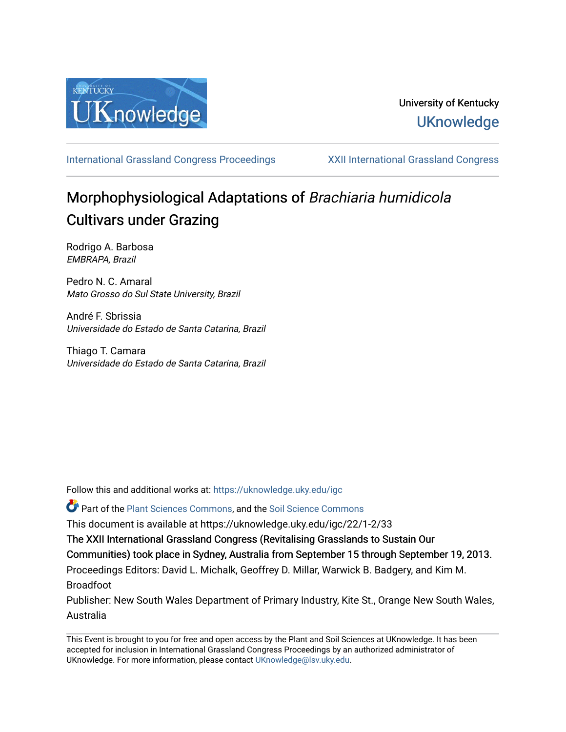

# University of Kentucky **UKnowledge**

[International Grassland Congress Proceedings](https://uknowledge.uky.edu/igc) [XXII International Grassland Congress](https://uknowledge.uky.edu/igc/22) 

# Morphophysiological Adaptations of Brachiaria humidicola Cultivars under Grazing

Rodrigo A. Barbosa EMBRAPA, Brazil

Pedro N. C. Amaral Mato Grosso do Sul State University, Brazil

André F. Sbrissia Universidade do Estado de Santa Catarina, Brazil

Thiago T. Camara Universidade do Estado de Santa Catarina, Brazil

Follow this and additional works at: [https://uknowledge.uky.edu/igc](https://uknowledge.uky.edu/igc?utm_source=uknowledge.uky.edu%2Figc%2F22%2F1-2%2F33&utm_medium=PDF&utm_campaign=PDFCoverPages) 

Part of the [Plant Sciences Commons](http://network.bepress.com/hgg/discipline/102?utm_source=uknowledge.uky.edu%2Figc%2F22%2F1-2%2F33&utm_medium=PDF&utm_campaign=PDFCoverPages), and the [Soil Science Commons](http://network.bepress.com/hgg/discipline/163?utm_source=uknowledge.uky.edu%2Figc%2F22%2F1-2%2F33&utm_medium=PDF&utm_campaign=PDFCoverPages) 

This document is available at https://uknowledge.uky.edu/igc/22/1-2/33

The XXII International Grassland Congress (Revitalising Grasslands to Sustain Our

Communities) took place in Sydney, Australia from September 15 through September 19, 2013.

Proceedings Editors: David L. Michalk, Geoffrey D. Millar, Warwick B. Badgery, and Kim M. Broadfoot

Publisher: New South Wales Department of Primary Industry, Kite St., Orange New South Wales, Australia

This Event is brought to you for free and open access by the Plant and Soil Sciences at UKnowledge. It has been accepted for inclusion in International Grassland Congress Proceedings by an authorized administrator of UKnowledge. For more information, please contact [UKnowledge@lsv.uky.edu](mailto:UKnowledge@lsv.uky.edu).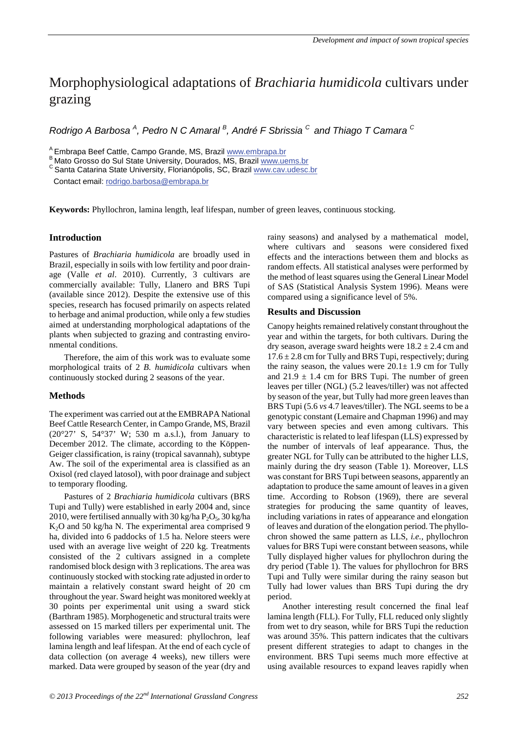# Morphophysiological adaptations of *Brachiaria humidicola* cultivars under grazing

*Rodrigo A Barbosa <sup>A</sup> , Pedro N C Amaral <sup>B</sup> , André F Sbrissia C and Thiago T Camara <sup>C</sup>*

A Embrapa Beef Cattle, Campo Grande, MS, Brazil www.embrapa.br B Mato Grosso do Sul State University, Dourados, MS, Brazil www.uems.br C Santa Catarina State University, Florianópolis, SC, Brazil www.cav.udesc.br

Contact email: rodrigo.barbosa@embrapa.br

**Keywords:** Phyllochron, lamina length, leaf lifespan, number of green leaves, continuous stocking.

# **Introduction**

Pastures of *Brachiaria humidicola* are broadly used in Brazil, especially in soils with low fertility and poor drainage (Valle *et al*. 2010). Currently, 3 cultivars are commercially available: Tully, Llanero and BRS Tupi (available since 2012). Despite the extensive use of this species, research has focused primarily on aspects related to herbage and animal production, while only a few studies aimed at understanding morphological adaptations of the plants when subjected to grazing and contrasting environmental conditions.

Therefore, the aim of this work was to evaluate some morphological traits of 2 *B. humidicola* cultivars when continuously stocked during 2 seasons of the year.

# **Methods**

The experiment was carried out at the EMBRAPA National Beef Cattle Research Center, in Campo Grande, MS, Brazil (20°27' S, 54°37' W; 530 m a.s.l.), from January to December 2012. The climate, according to the Köppen-Geiger classification, is rainy (tropical savannah), subtype Aw. The soil of the experimental area is classified as an Oxisol (red clayed latosol), with poor drainage and subject to temporary flooding.

Pastures of 2 *Brachiaria humidicola* cultivars (BRS Tupi and Tully) were established in early 2004 and, since 2010, were fertilised annually with 30 kg/ha  $P_2O_5$ , 30 kg/ha K2O and 50 kg/ha N. The experimental area comprised 9 ha, divided into 6 paddocks of 1.5 ha. Nelore steers were used with an average live weight of 220 kg. Treatments consisted of the 2 cultivars assigned in a complete randomised block design with 3 replications. The area was continuously stocked with stocking rate adjusted in order to maintain a relatively constant sward height of 20 cm throughout the year. Sward height was monitored weekly at 30 points per experimental unit using a sward stick (Barthram 1985). Morphogenetic and structural traits were assessed on 15 marked tillers per experimental unit. The following variables were measured: phyllochron, leaf lamina length and leaf lifespan. At the end of each cycle of data collection (on average 4 weeks), new tillers were marked. Data were grouped by season of the year (dry and rainy seasons) and analysed by a mathematical model, where cultivars and seasons were considered fixed effects and the interactions between them and blocks as random effects. All statistical analyses were performed by the method of least squares using the General Linear Model of SAS (Statistical Analysis System 1996). Means were compared using a significance level of 5%.

## **Results and Discussion**

Canopy heights remained relatively constant throughout the year and within the targets, for both cultivars. During the dry season, average sward heights were  $18.2 \pm 2.4$  cm and  $17.6 \pm 2.8$  cm for Tully and BRS Tupi, respectively; during the rainy season, the values were  $20.1 \pm 1.9$  cm for Tully and  $21.9 \pm 1.4$  cm for BRS Tupi. The number of green leaves per tiller (NGL) (5.2 leaves/tiller) was not affected by season of the year, but Tully had more green leaves than BRS Tupi (5.6 *vs* 4.7 leaves/tiller). The NGL seems to be a genotypic constant (Lemaire and Chapman 1996) and may vary between species and even among cultivars. This characteristic is related to leaf lifespan (LLS) expressed by the number of intervals of leaf appearance. Thus, the greater NGL for Tully can be attributed to the higher LLS, mainly during the dry season (Table 1). Moreover, LLS was constant for BRS Tupi between seasons, apparently an adaptation to produce the same amount of leaves in a given time. According to Robson (1969), there are several strategies for producing the same quantity of leaves, including variations in rates of appearance and elongation of leaves and duration of the elongation period. The phyllochron showed the same pattern as LLS, *i.e.,* phyllochron values for BRS Tupi were constant between seasons, while Tully displayed higher values for phyllochron during the dry period (Table 1). The values for phyllochron for BRS Tupi and Tully were similar during the rainy season but Tully had lower values than BRS Tupi during the dry period.

Another interesting result concerned the final leaf lamina length (FLL). For Tully, FLL reduced only slightly from wet to dry season, while for BRS Tupi the reduction was around 35%. This pattern indicates that the cultivars present different strategies to adapt to changes in the environment. BRS Tupi seems much more effective at using available resources to expand leaves rapidly when